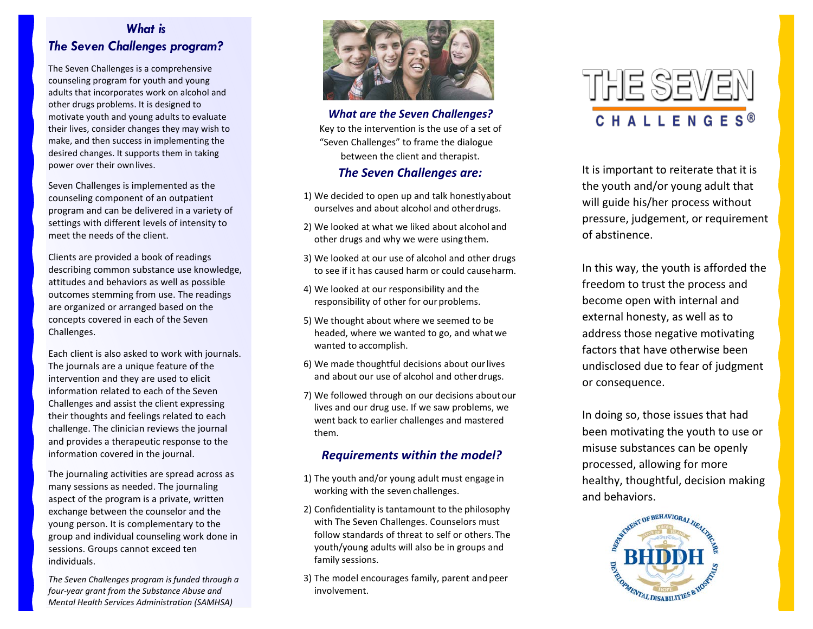## *What is The Seven Challenges program?*

The Seven Challenges is a comprehensive counseling program for youth and young adults that incorporates work on alcohol and other drugs problems. It is designed to motivate youth and young adults to evaluate their lives, consider changes they may wish to make, and then success in implementing the desired changes. It supports them in taking power over their ownlives.

Seven Challenges is implemented as the counseling component of an outpatient program and can be delivered in a variety of settings with different levels of intensity to meet the needs of the client.

Clients are provided a book of readings describing common substance use knowledge, attitudes and behaviors as well as possible outcomes stemming from use. The readings are organized or arranged based on the concepts covered in each of the Seven Challenges.

Each client is also asked to work with journals. The journals are a unique feature of the intervention and they are used to elicit information related to each of the Seven Challenges and assist the client expressing their thoughts and feelings related to each challenge. The clinician reviews the journal and provides a therapeutic response to the information covered in the journal.

The journaling activities are spread across as many sessions as needed. The journaling aspect of the program is a private, written exchange between the counselor and the young person. It is complementary to the group and individual counseling work done in sessions. Groups cannot exceed ten individuals.

*The Seven Challenges program is funded through a four-year grant from the Substance Abuse and Mental Health Services Administration (SAMHSA)*



*What are the Seven Challenges?*  Key to the intervention is the use of a set of "Seven Challenges" to frame the dialogue between the client and therapist.

#### *The Seven Challenges are:*

- 1) We decided to open up and talk honestlyabout ourselves and about alcohol and otherdrugs.
- 2) We looked at what we liked about alcohol and other drugs and why we were usingthem.
- 3) We looked at our use of alcohol and other drugs to see if it has caused harm or could causeharm.
- 4) We looked at our responsibility and the responsibility of other for our problems.
- 5) We thought about where we seemed to be headed, where we wanted to go, and what we wanted to accomplish.
- 6) We made thoughtful decisions about ourlives and about our use of alcohol and otherdrugs.
- 7) We followed through on our decisions aboutour lives and our drug use. If we saw problems, we went back to earlier challenges and mastered them.

#### *Requirements within the model?*

- 1) The youth and/or young adult must engage in working with the seven challenges.
- 2) Confidentiality is tantamount to the philosophy with The Seven Challenges. Counselors must follow standards of threat to self or others. The youth/young adults will also be in groups and family sessions.
- 3) The model encourages family, parent and peer involvement.



It is important to reiterate that it is the youth and/or young adult that will guide his/her process without pressure, judgement, or requirement of abstinence.

In this way, the youth is afforded the freedom to trust the process and become open with internal and external honesty, as well as to address those negative motivating factors that have otherwise been undisclosed due to fear of judgment or consequence.

In doing so, those issues that had been motivating the youth to use or misuse substances can be openly processed, allowing for more healthy, thoughtful, decision making and behaviors.